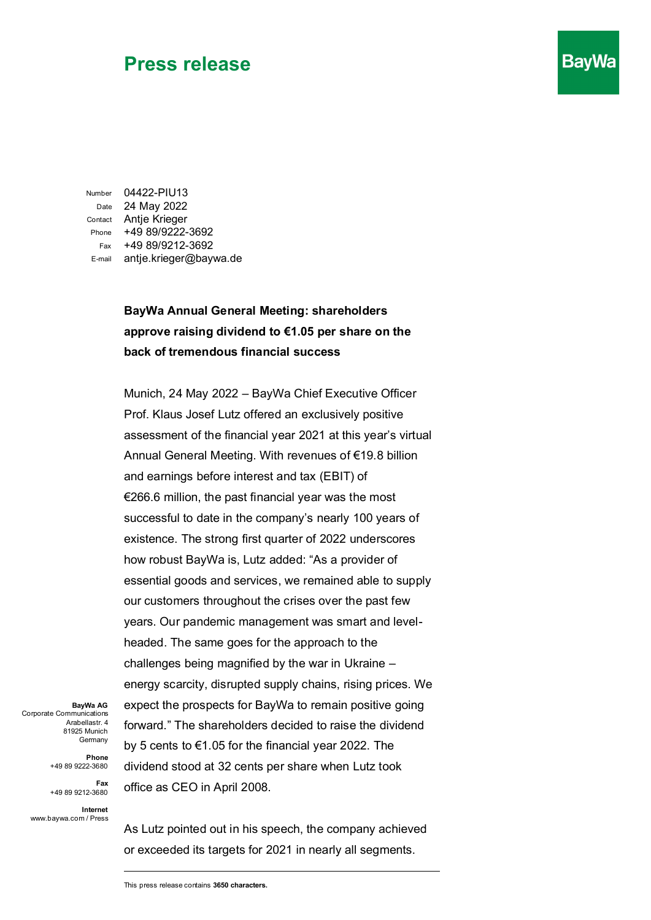Number 04422-PIU13 Date 24 May 2022 Contact Antje Krieger Phone +49 89/9222-3692 Fax +49 89/9212-3692 E-mail antje.krieger@baywa.de

#### **BayWa Annual General Meeting: shareholders approve raising dividend to €1.05 per share on the back of tremendous financial success**

**BavWa** 

Munich, 24 May 2022 – BayWa Chief Executive Officer Prof. Klaus Josef Lutz offered an exclusively positive assessment of the financial year 2021 at this year's virtual Annual General Meeting. With revenues of €19.8 billion and earnings before interest and tax (EBIT) of €266.6 million, the past financial year was the most successful to date in the company's nearly 100 years of existence. The strong first quarter of 2022 underscores how robust BayWa is, Lutz added: "As a provider of essential goods and services, we remained able to supply our customers throughout the crises over the past few years. Our pandemic management was smart and levelheaded. The same goes for the approach to the challenges being magnified by the war in Ukraine – energy scarcity, disrupted supply chains, rising prices. We expect the prospects for BayWa to remain positive going forward." The shareholders decided to raise the dividend by 5 cents to €1.05 for the financial year 2022. The dividend stood at 32 cents per share when Lutz took office as CEO in April 2008.

**BayWa AG** Corporate Communications Arabellastr. 4 81925 Munich Germany

> **Phone**  +49 89 9222-3680

**Fax**  +49 89 9212-3680

**Internet** www.baywa.com / Press

As Lutz pointed out in his speech, the company achieved or exceeded its targets for 2021 in nearly all segments.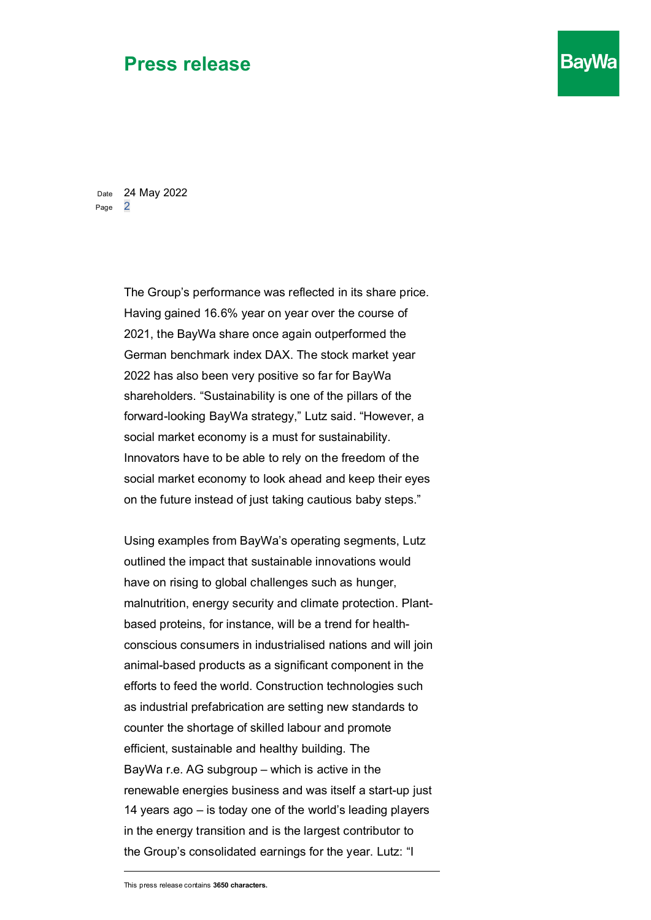Date 24 May 2022 Page 2

> The Group's performance was reflected in its share price. Having gained 16.6% year on year over the course of 2021, the BayWa share once again outperformed the German benchmark index DAX. The stock market year 2022 has also been very positive so far for BayWa shareholders. "Sustainability is one of the pillars of the forward-looking BayWa strategy," Lutz said. "However, a social market economy is a must for sustainability. Innovators have to be able to rely on the freedom of the social market economy to look ahead and keep their eyes on the future instead of just taking cautious baby steps."

**BayWa** 

Using examples from BayWa's operating segments, Lutz outlined the impact that sustainable innovations would have on rising to global challenges such as hunger, malnutrition, energy security and climate protection. Plantbased proteins, for instance, will be a trend for healthconscious consumers in industrialised nations and will join animal-based products as a significant component in the efforts to feed the world. Construction technologies such as industrial prefabrication are setting new standards to counter the shortage of skilled labour and promote efficient, sustainable and healthy building. The BayWa r.e. AG subgroup – which is active in the renewable energies business and was itself a start-up just 14 years ago – is today one of the world's leading players in the energy transition and is the largest contributor to the Group's consolidated earnings for the year. Lutz: "I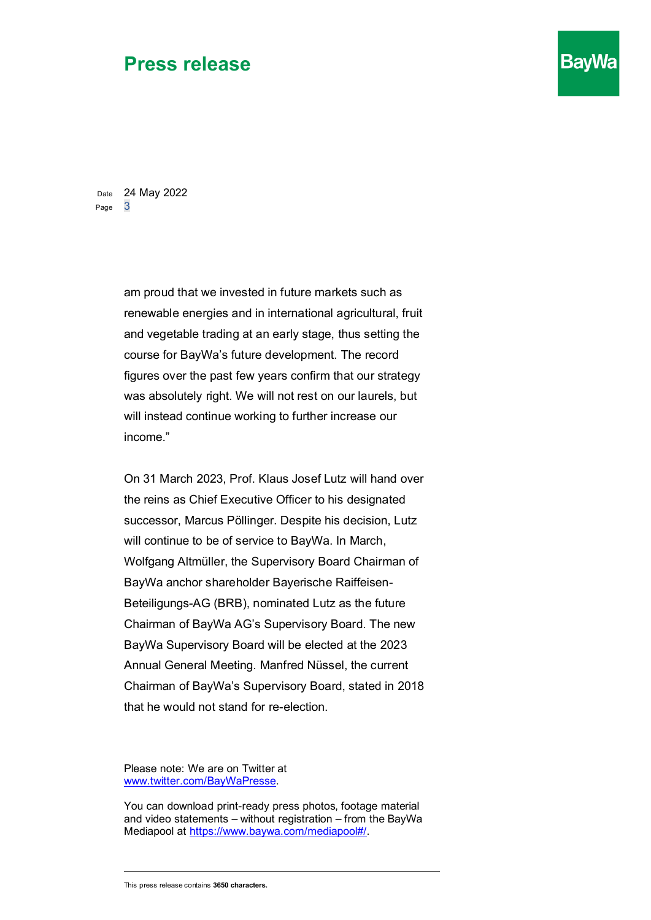Date 24 May 2022 Page 3

> am proud that we invested in future markets such as renewable energies and in international agricultural, fruit and vegetable trading at an early stage, thus setting the course for BayWa's future development. The record figures over the past few years confirm that our strategy was absolutely right. We will not rest on our laurels, but will instead continue working to further increase our income."

**BayWa** 

On 31 March 2023, Prof. Klaus Josef Lutz will hand over the reins as Chief Executive Officer to his designated successor, Marcus Pöllinger. Despite his decision, Lutz will continue to be of service to BayWa. In March, Wolfgang Altmüller, the Supervisory Board Chairman of BayWa anchor shareholder Bayerische Raiffeisen-Beteiligungs-AG (BRB), nominated Lutz as the future Chairman of BayWa AG's Supervisory Board. The new BayWa Supervisory Board will be elected at the 2023 Annual General Meeting. Manfred Nüssel, the current Chairman of BayWa's Supervisory Board, stated in 2018 that he would not stand for re-election.

Please note: We are on Twitter at [www.twitter.com/BayWaPresse.](http://www.twitter.com/BayWaPresse)

You can download print-ready press photos, footage material and video statements – without registration – from the BayWa Mediapool at [https://www.baywa.com/mediapool#/.](https://www.baywa.com/mediapool#/)